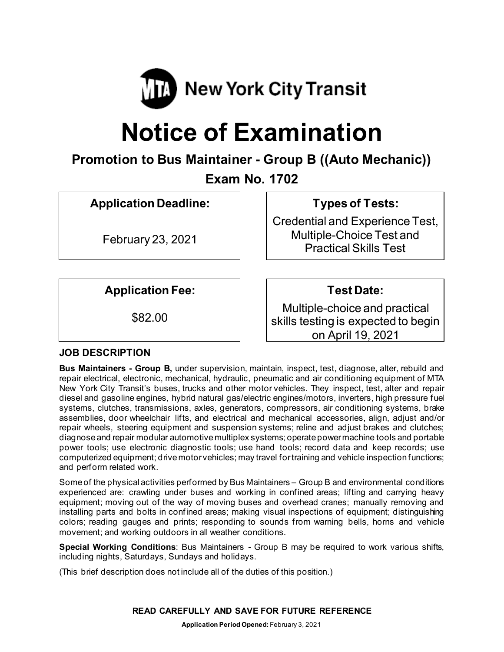

# **Notice of Examination**

# **Promotion to Bus Maintainer - Group B ((Auto Mechanic))**

**Exam No. 1702**

**Application Deadline:**

February 23, 2021

**Types of Tests:** 

Credential and Experience Test, Multiple-Choice Test and Practical Skills Test

**Application Fee:**

\$82.00

**Test Date:**

Multiple-choice and practical skills testing is expected to begin on April 19, 2021

# **JOB DESCRIPTION**

**Bus Maintainers - Group B,** under supervision, maintain, inspect, test, diagnose, alter, rebuild and repair electrical, electronic, mechanical, hydraulic, pneumatic and air conditioning equipment of MTA New York City Transit's buses, trucks and other motor vehicles. They inspect, test, alter and repair diesel and gasoline engines, hybrid natural gas/electric engines/motors, inverters, high pressure fuel systems, clutches, transmissions, axles, generators, compressors, air conditioning systems, brake assemblies, door wheelchair lifts, and electrical and mechanical accessories, align, adjust and/or repair wheels, steering equipment and suspension systems; reline and adjust brakes and clutches; diagnose and repair modular automotive multiplex systems; operate power machine tools and portable power tools; use electronic diagnostic tools; use hand tools; record data and keep records; use computerized equipment; drive motor vehicles; may travel for training and vehicle inspection functions; and perform related work.

Some of the physical activities performed by Bus Maintainers – Group B and environmental conditions experienced are: crawling under buses and working in confined areas; lifting and carrying heavy equipment; moving out of the way of moving buses and overhead cranes; manually removing and installing parts and bolts in confined areas; making visual inspections of equipment; distinguishing colors; reading gauges and prints; responding to sounds from warning bells, horns and vehicle movement; and working outdoors in all weather conditions.

**Special Working Conditions**: Bus Maintainers - Group B may be required to work various shifts, including nights, Saturdays, Sundays and holidays.

(This brief description does not include all of the duties of this position.)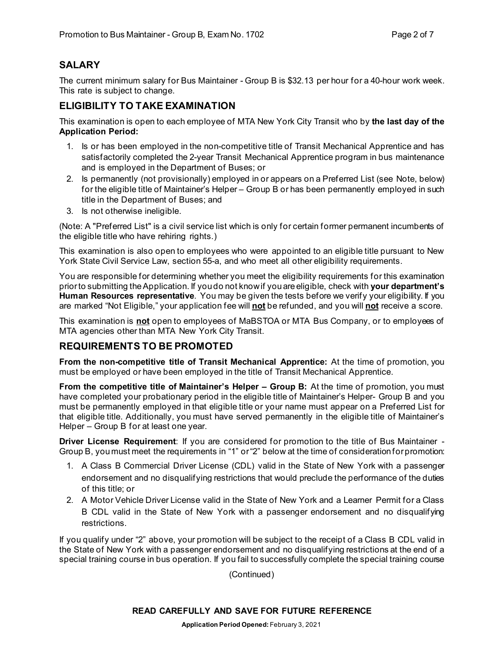# **SALARY**

The current minimum salary for Bus Maintainer - Group B is \$32.13 per hour for a 40-hour work week. This rate is subject to change.

#### **ELIGIBILITY TO TAKE EXAMINATION**

This examination is open to each employee of MTA New York City Transit who by **the last day of the Application Period:** 

- 1. Is or has been employed in the non-competitive title of Transit Mechanical Apprentice and has satisfactorily completed the 2-year Transit Mechanical Apprentice program in bus maintenance and is employed in the Department of Buses; or
- 2. Is permanently (not provisionally) employed in or appears on a Preferred List (see Note, below) for the eligible title of Maintainer's Helper – Group B or has been permanently employed in such title in the Department of Buses; and
- 3. Is not otherwise ineligible.

(Note: A "Preferred List" is a civil service list which is only for certain former permanent incumbents of the eligible title who have rehiring rights.)

This examination is also open to employees who were appointed to an eligible title pursuant to New York State Civil Service Law, section 55-a, and who meet all other eligibility requirements.

You are responsible for determining whether you meet the eligibility requirements for this examination prior to submitting the Application. If you do not know if you are eligible, check with **your department's Human Resources representative**. You may be given the tests before we verify your eligibility. If you are marked "Not Eligible," your application fee will **not** be refunded, and you will **not** receive a score.

This examination is **not** open to employees of MaBSTOA or MTA Bus Company, or to employees of MTA agencies other than MTA New York City Transit.

#### **REQUIREMENTS TO BE PROMOTED**

**From the non-competitive title of Transit Mechanical Apprentice:** At the time of promotion, you must be employed or have been employed in the title of Transit Mechanical Apprentice.

**From the competitive title of Maintainer's Helper – Group B:** At the time of promotion, you must have completed your probationary period in the eligible title of Maintainer's Helper- Group B and you must be permanently employed in that eligible title or your name must appear on a Preferred List for that eligible title. Additionally, you must have served permanently in the eligible title of Maintainer's Helper – Group B for at least one year.

**Driver License Requirement**: If you are considered for promotion to the title of Bus Maintainer - Group B, you must meet the requirements in "1" or "2" below at the time of consideration for promotion:

- 1. A Class B Commercial Driver License (CDL) valid in the State of New York with a passenger endorsement and no disqualifying restrictions that would preclude the performance of the duties of this title; or
- 2. A Motor Vehicle Driver License valid in the State of New York and a Learner Permit for a Class B CDL valid in the State of New York with a passenger endorsement and no disqualifying restrictions.

If you qualify under "2" above, your promotion will be subject to the receipt of a Class B CDL valid in the State of New York with a passenger endorsement and no disqualifying restrictions at the end of a special training course in bus operation. If you fail to successfully complete the special training course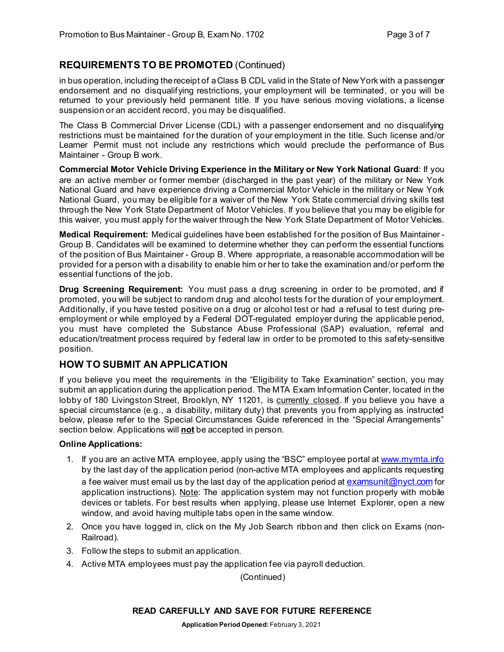# **REQUIREMENTS TO BE PROMOTED** (Continued)

in bus operation, including the receipt of a Class B CDL valid in the State of New York with a passenger endorsement and no disqualifying restrictions, your employment will be terminated, or you will be returned to your previously held permanent title. If you have serious moving violations, a license suspension or an accident record, you may be disqualified.

The Class B Commercial Driver License (CDL) with a passenger endorsement and no disqualifying restrictions must be maintained for the duration of your employment in the title. Such license and/or Learner Permit must not include any restrictions which would preclude the performance of Bus Maintainer - Group B work.

**Commercial Motor Vehicle Driving Experience in the Military or New York National Guard**: If you are an active member or former member (discharged in the past year) of the military or New York National Guard and have experience driving a Commercial Motor Vehicle in the military or New York National Guard, you may be eligible for a waiver of the New York State commercial driving skills test through the New York State Department of Motor Vehicles. If you believe that you may be eligible for this waiver, you must apply for the waiver through the New York State Department of Motor Vehicles.

**Medical Requirement:** Medical guidelines have been established for the position of Bus Maintainer - Group B. Candidates will be examined to determine whether they can perform the essential functions of the position of Bus Maintainer - Group B. Where appropriate, a reasonable accommodation will be provided for a person with a disability to enable him or her to take the examination and/or perform the essential functions of the job.

**Drug Screening Requirement:** You must pass a drug screening in order to be promoted, and if promoted, you will be subject to random drug and alcohol tests for the duration of your employment. Additionally, if you have tested positive on a drug or alcohol test or had a refusal to test during preemployment or while employed by a Federal DOT-regulated employer during the applicable period, you must have completed the Substance Abuse Professional (SAP) evaluation, referral and education/treatment process required by federal law in order to be promoted to this safety-sensitive position.

# **HOW TO SUBMIT AN APPLICATION**

If you believe you meet the requirements in the "Eligibility to Take Examination" section, you may submit an application during the application period. The MTA Exam Information Center, located in the lobby of 180 Livingston Street, Brooklyn, NY 11201, is currently closed. If you believe you have a special circumstance (e.g., a disability, military duty) that prevents you from applying as instructed below, please refer to the Special Circumstances Guide referenced in the "Special Arrangements" section below. Applications will **not** be accepted in person.

#### **Online Applications:**

- 1. If you are an active MTA employee, apply using the "BSC" employee portal at [www.mymta.info](http://www.mymta.info/) by the last day of the application period (non-active MTA employees and applicants requesting a fee waiver must email us by the last day of the application period a[t examsunit@nyct.com](mailto:examsunit@nyct.com) for application instructions). Note: The application system may not function properly with mobile devices or tablets. For best results when applying, please use Internet Explorer, open a new window, and avoid having multiple tabs open in the same window.
- 2. Once you have logged in, click on the My Job Search ribbon and then click on Exams (non-Railroad).
- 3. Follow the steps to submit an application.
- 4. Active MTA employees must pay the application fee via payroll deduction.

(Continued)

#### **READ CAREFULLY AND SAVE FOR FUTURE REFERENCE**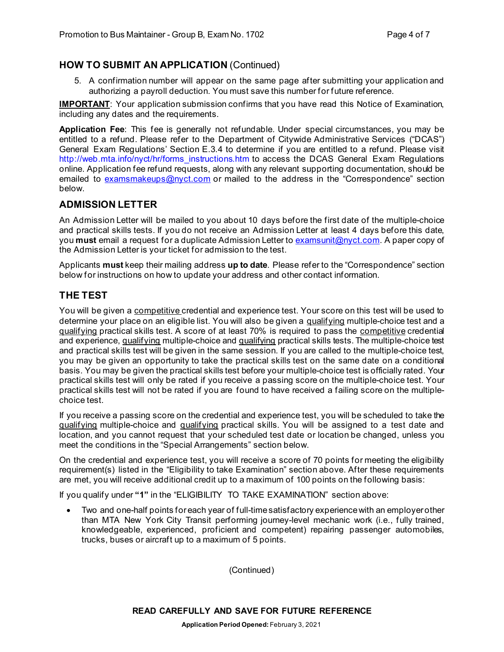#### **HOW TO SUBMIT AN APPLICATION** (Continued)

5. A confirmation number will appear on the same page after submitting your application and authorizing a payroll deduction. You must save this number for future reference.

**IMPORTANT**: Your application submission confirms that you have read this Notice of Examination, including any dates and the requirements.

**Application Fee**: This fee is generally not refundable. Under special circumstances, you may be entitled to a refund. Please refer to the Department of Citywide Administrative Services ("DCAS") General Exam Regulations' Section E.3.4 to determine if you are entitled to a refund. Please visit [http://web.mta.info/nyct/hr/forms\\_instructions.htm](http://web.mta.info/nyct/hr/forms_instructions.htm) to access the DCAS General Exam Regulations online. Application fee refund requests, along with any relevant supporting documentation, should be emailed to [examsmakeups@nyct.com](mailto:examsmakeups@nyct.com) or mailed to the address in the "Correspondence" section below.

#### **ADMISSION LETTER**

An Admission Letter will be mailed to you about 10 days before the first date of the multiple-choice and practical skills tests. If you do not receive an Admission Letter at least 4 days before this date, you **must** email a request for a duplicate Admission Letter to [examsunit@nyct.com.](mailto:examsunit@nyct.com) A paper copy of the Admission Letter is your ticket for admission to the test.

Applicants **must** keep their mailing address **up to date**. Please refer to the "Correspondence" section below for instructions on how to update your address and other contact information.

# **THE TEST**

You will be given a competitive credential and experience test. Your score on this test will be used to determine your place on an eligible list. You will also be given a gualifying multiple-choice test and a qualifying practical skills test. A score of at least 70% is required to pass the competitive credential and experience, qualifying multiple-choice and qualifying practical skills tests. The multiple-choice test and practical skills test will be given in the same session. If you are called to the multiple-choice test, you may be given an opportunity to take the practical skills test on the same date on a conditional basis. You may be given the practical skills test before your multiple-choice test is officially rated. Your practical skills test will only be rated if you receive a passing score on the multiple-choice test. Your practical skills test will not be rated if you are found to have received a failing score on the multiplechoice test.

If you receive a passing score on the credential and experience test, you will be scheduled to take the gualifying multiple-choice and gualifying practical skills. You will be assigned to a test date and location, and you cannot request that your scheduled test date or location be changed, unless you meet the conditions in the "Special Arrangements" section below.

On the credential and experience test, you will receive a score of 70 points for meeting the eligibility requirement(s) listed in the "Eligibility to take Examination" section above. After these requirements are met, you will receive additional credit up to a maximum of 100 points on the following basis:

If you qualify under **"1"** in the "ELIGIBILITY TO TAKE EXAMINATION" section above:

• Two and one-half points for each year of full-time satisfactory experience with an employer other than MTA New York City Transit performing journey-level mechanic work (i.e., fully trained, knowledgeable, experienced, proficient and competent) repairing passenger automobiles, trucks, buses or aircraft up to a maximum of 5 points.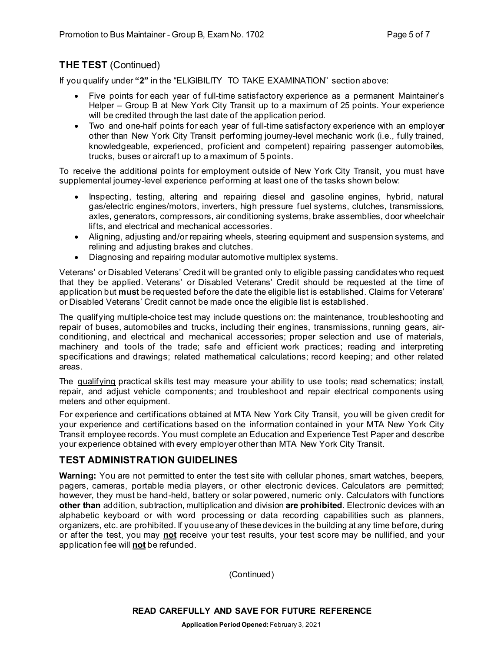# **THE TEST** (Continued)

If you qualify under **"2"** in the "ELIGIBILITY TO TAKE EXAMINATION" section above:

- Five points for each year of full-time satisfactory experience as a permanent Maintainer's Helper – Group B at New York City Transit up to a maximum of 25 points. Your experience will be credited through the last date of the application period.
- Two and one-half points for each year of full-time satisfactory experience with an employer other than New York City Transit performing journey-level mechanic work (i.e., fully trained, knowledgeable, experienced, proficient and competent) repairing passenger automobiles, trucks, buses or aircraft up to a maximum of 5 points.

To receive the additional points for employment outside of New York City Transit, you must have supplemental journey-level experience performing at least one of the tasks shown below:

- Inspecting, testing, altering and repairing diesel and gasoline engines, hybrid, natural gas/electric engines/motors, inverters, high pressure fuel systems, clutches, transmissions, axles, generators, compressors, air conditioning systems, brake assemblies, door wheelchair lifts, and electrical and mechanical accessories.
- Aligning, adjusting and/or repairing wheels, steering equipment and suspension systems, and relining and adjusting brakes and clutches.
- Diagnosing and repairing modular automotive multiplex systems.

Veterans' or Disabled Veterans' Credit will be granted only to eligible passing candidates who request that they be applied. Veterans' or Disabled Veterans' Credit should be requested at the time of application but **must** be requested before the date the eligible list is established. Claims for Veterans' or Disabled Veterans' Credit cannot be made once the eligible list is established.

The qualifying multiple-choice test may include questions on: the maintenance, troubleshooting and repair of buses, automobiles and trucks, including their engines, transmissions, running gears, airconditioning, and electrical and mechanical accessories; proper selection and use of materials, machinery and tools of the trade; safe and efficient work practices; reading and interpreting specifications and drawings; related mathematical calculations; record keeping; and other related areas.

The qualifying practical skills test may measure your ability to use tools; read schematics; install, repair, and adjust vehicle components; and troubleshoot and repair electrical components using meters and other equipment.

For experience and certifications obtained at MTA New York City Transit, you will be given credit for your experience and certifications based on the information contained in your MTA New York City Transit employee records. You must complete an Education and Experience Test Paper and describe your experience obtained with every employer other than MTA New York City Transit.

# **TEST ADMINISTRATION GUIDELINES**

**Warning:** You are not permitted to enter the test site with cellular phones, smart watches, beepers, pagers, cameras, portable media players, or other electronic devices. Calculators are permitted; however, they must be hand-held, battery or solar powered, numeric only. Calculators with functions **other than** addition, subtraction, multiplication and division **are prohibited**. Electronic devices with an alphabetic keyboard or with word processing or data recording capabilities such as planners, organizers, etc. are prohibited. If you use any of these devices in the building at any time before, during or after the test, you may **not** receive your test results, your test score may be nullified, and your application fee will **not** be refunded.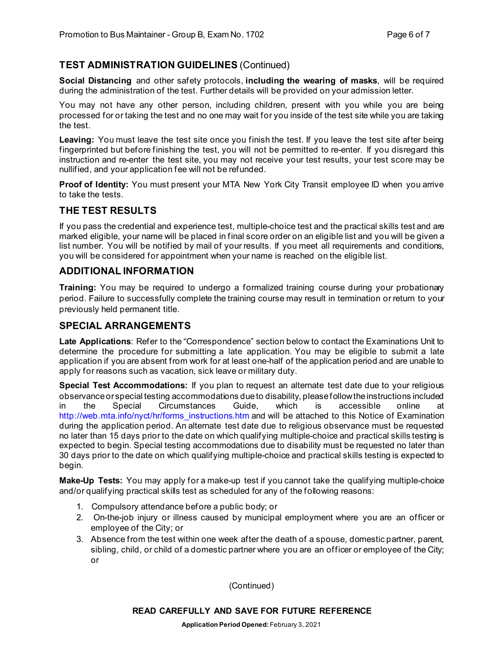# **TEST ADMINISTRATION GUIDELINES** (Continued)

**Social Distancing** and other safety protocols, **including the wearing of masks**, will be required during the administration of the test. Further details will be provided on your admission letter.

You may not have any other person, including children, present with you while you are being processed for or taking the test and no one may wait for you inside of the test site while you are taking the test.

Leaving: You must leave the test site once you finish the test. If you leave the test site after being fingerprinted but before finishing the test, you will not be permitted to re-enter. If you disregard this instruction and re-enter the test site, you may not receive your test results, your test score may be nullified, and your application fee will not be refunded.

**Proof of Identity:** You must present your MTA New York City Transit employee ID when you arrive to take the tests.

## **THE TEST RESULTS**

If you pass the credential and experience test, multiple-choice test and the practical skills test and are marked eligible, your name will be placed in final score order on an eligible list and you will be given a list number. You will be notified by mail of your results. If you meet all requirements and conditions, you will be considered for appointment when your name is reached on the eligible list.

# **ADDITIONAL INFORMATION**

**Training:** You may be required to undergo a formalized training course during your probationary period. Failure to successfully complete the training course may result in termination or return to your previously held permanent title.

#### **SPECIAL ARRANGEMENTS**

**Late Applications**: Refer to the "Correspondence" section below to contact the Examinations Unit to determine the procedure for submitting a late application. You may be eligible to submit a late application if you are absent from work for at least one-half of the application period and are unable to apply for reasons such as vacation, sick leave or military duty.

**Special Test Accommodations:** If you plan to request an alternate test date due to your religious observance or special testing accommodations due to disability, please follow the instructions included in the Special Circumstances Guide, which is accessible online at [http://web.mta.info/nyct/hr/forms\\_instructions.htm](http://web.mta.info/nyct/hr/forms_instructions.htm) and will be attached to this Notice of Examination during the application period. An alternate test date due to religious observance must be requested no later than 15 days prior to the date on which qualifying multiple-choice and practical skills testing is expected to begin. Special testing accommodations due to disability must be requested no later than 30 days prior to the date on which qualifying multiple-choice and practical skills testing is expected to begin.

**Make-Up Tests:** You may apply for a make-up test if you cannot take the qualifying multiple-choice and/or qualifying practical skills test as scheduled for any of the following reasons:

- 1. Compulsory attendance before a public body; or
- 2. On-the-job injury or illness caused by municipal employment where you are an officer or employee of the City; or
- 3. Absence from the test within one week after the death of a spouse, domestic partner, parent, sibling, child, or child of a domestic partner where you are an officer or employee of the City; or